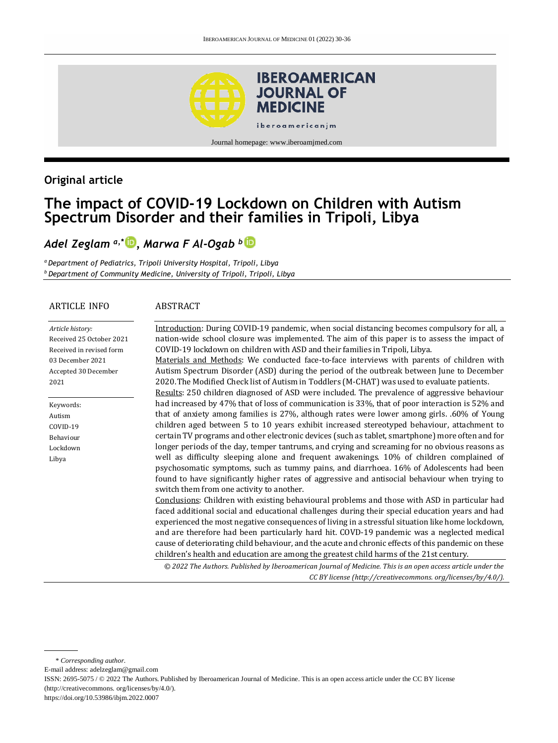

### **Original article**

# **The impact of COVID-19 Lockdown on Children with Autism Spectrum Disorder and their families in Tripoli, Libya**

## *Adel Zeglam a,\* [,](http://orcid.org/0000-0002-3043-2248) Marwa F Al-Ogab <sup>b</sup>*

*<sup>a</sup>Department of Pediatrics, Tripoli University Hospital, Tripoli, Libya <sup>b</sup> Department of Community Medicine, University of Tripoli, Tripoli, Libya*

#### ARTICLE INFO

#### ABSTRACT

| Article history:         |
|--------------------------|
| Received 25 October 2021 |
| Received in revised form |
| 03 December 2021         |
| Accepted 30 December     |
| 2021                     |
|                          |

Keywords: Autism COVID-19 Behaviour Lockdown Libya

Introduction: During COVID-19 pandemic, when social distancing becomes compulsory for all, a nation-wide school closure was implemented. The aim of this paper is to assess the impact of COVID-19 lockdown on children with ASD and their families in Tripoli, Libya. Materials and Methods: We conducted face-to-face interviews with parents of children with Autism Spectrum Disorder (ASD) during the period of the outbreak between June to December 2020.The Modified Check list of Autism in Toddlers (M-CHAT) was used to evaluate patients. Results: 250 children diagnosed of ASD were included. The prevalence of aggressive behaviour had increased by 47% that of loss of communication is 33%, that of poor interaction is 52% and that of anxiety among families is 27%, although rates were lower among girls. .60% of Young children aged between 5 to 10 years exhibit increased stereotyped behaviour, attachment to certain TV programs and other electronic devices (such as tablet, smartphone) more often and for longer periods of the day, temper tantrums, and crying and screaming for no obvious reasons as well as difficulty sleeping alone and frequent awakenings. 10% of children complained of psychosomatic symptoms, such as tummy pains, and diarrhoea. 16% of Adolescents had been found to have significantly higher rates of aggressive and antisocial behaviour when trying to switch them from one activity to another. Conclusions: Children with existing behavioural problems and those with ASD in particular had faced additional social and educational challenges during their special education years and had experienced the most negative consequences of living in a stressful situation like home lockdown, and are therefore had been particularly hard hit. COVD-19 pandemic was a neglected medical cause of deteriorating child behaviour, and the acute and chronic effects of this pandemic on these children's health and education are among the greatest child harms of the 21st century.

*© 2022 The Authors. Published by Iberoamerican Journal of Medicine. This is an open access article under the CC BY license (http:/[/creativecommons. org/licenses/by/4.0/\)](https://creativecommons.org/licenses/by/4.0/).*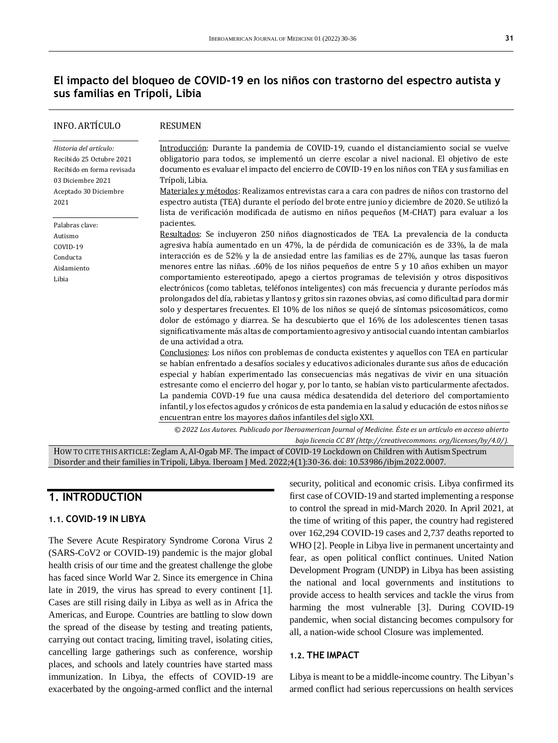### **El impacto del bloqueo de COVID-19 en los niños con trastorno del espectro autista y sus familias en Trípoli, Libia**

| <b>INFO. ARTÍCULO</b>                                                                                                                  | <b>RESUMEN</b>                                                                                                                                                                                                                                                                                                                                                                                                                                                                                                                                                                                                                                                                                                                                                                                                                                                                                                                                                                                                                      |  |  |
|----------------------------------------------------------------------------------------------------------------------------------------|-------------------------------------------------------------------------------------------------------------------------------------------------------------------------------------------------------------------------------------------------------------------------------------------------------------------------------------------------------------------------------------------------------------------------------------------------------------------------------------------------------------------------------------------------------------------------------------------------------------------------------------------------------------------------------------------------------------------------------------------------------------------------------------------------------------------------------------------------------------------------------------------------------------------------------------------------------------------------------------------------------------------------------------|--|--|
| Historia del artículo:<br>Recibido 25 Octubre 2021<br>Recibido en forma revisada<br>03 Diciembre 2021<br>Aceptado 30 Diciembre<br>2021 | Introducción: Durante la pandemia de COVID-19, cuando el distanciamiento social se vuelve<br>obligatorio para todos, se implementó un cierre escolar a nivel nacional. El objetivo de este<br>documento es evaluar el impacto del encierro de COVID-19 en los niños con TEA y sus familias en<br>Trípoli, Libia.<br>Materiales y métodos: Realizamos entrevistas cara a cara con padres de niños con trastorno del<br>espectro autista (TEA) durante el período del brote entre junio y diciembre de 2020. Se utilizó la<br>lista de verificación modificada de autismo en niños pequeños (M-CHAT) para evaluar a los                                                                                                                                                                                                                                                                                                                                                                                                               |  |  |
| Palabras clave:<br>Autismo<br>COVID-19<br>Conducta<br>Aislamiento<br>Libia                                                             | pacientes.<br>Resultados: Se incluyeron 250 niños diagnosticados de TEA. La prevalencia de la conducta<br>agresiva había aumentado en un 47%, la de pérdida de comunicación es de 33%, la de mala<br>interacción es de 52% y la de ansiedad entre las familias es de 27%, aunque las tasas fueron<br>menores entre las niñas. .60% de los niños pequeños de entre 5 y 10 años exhiben un mayor<br>comportamiento estereotipado, apego a ciertos programas de televisión y otros dispositivos<br>electrónicos (como tabletas, teléfonos inteligentes) con más frecuencia y durante períodos más<br>prolongados del día, rabietas y llantos y gritos sin razones obvias, así como dificultad para dormir<br>solo y despertares frecuentes. El 10% de los niños se quejó de síntomas psicosomáticos, como<br>dolor de estómago y diarrea. Se ha descubierto que el 16% de los adolescentes tienen tasas<br>significativamente más altas de comportamiento agresivo y antisocial cuando intentan cambiarlos<br>de una actividad a otra. |  |  |
|                                                                                                                                        | Conclusiones: Los niños con problemas de conducta existentes y aquellos con TEA en particular<br>se habían enfrentado a desafíos sociales y educativos adicionales durante sus años de educación<br>especial y habían experimentado las consecuencias más negativas de vivir en una situación<br>estresante como el encierro del hogar y, por lo tanto, se habían visto particularmente afectados.<br>La pandemia COVD-19 fue una causa médica desatendida del deterioro del comportamiento<br>infantil, y los efectos agudos y crónicos de esta pandemia en la salud y educación de estos niños se<br>encuentran entre los mayores daños infantiles del siglo XXI.<br>© 2022 Los Autores. Publicado por Iberoamerican Journal of Medicine. Éste es un artículo en acceso abierto<br>bajo licencia CC BY (http://creativecommons.org/licenses/by/4.0/).                                                                                                                                                                             |  |  |

HOW TO CITE THIS ARTICLE: Zeglam A, Al-Ogab MF. The impact of COVID-19 Lockdown on Children with Autism Spectrum Disorder and their families in Tripoli, Libya. Iberoam J Med. 2022;4(1):30-36. doi[: 10.53986/ibjm.2022.0007.](https://doi.org/10.53986/ibjm.2022.0007)

## **1. INTRODUCTION**

#### **1.1. COVID-19 IN LIBYA**

The Severe Acute Respiratory Syndrome Corona Virus 2 (SARS-CoV2 or COVID-19) pandemic is the major global health crisis of our time and the greatest challenge the globe has faced since World War 2. Since its emergence in China late in 2019, the virus has spread to every continent [1]. Cases are still rising daily in Libya as well as in Africa the Americas, and Europe. Countries are battling to slow down the spread of the disease by testing and treating patients, carrying out contact tracing, limiting travel, isolating cities, cancelling large gatherings such as conference, worship places, and schools and lately countries have started mass immunization. In Libya, the effects of COVID-19 are exacerbated by the ongoing-armed conflict and the internal security, political and economic crisis. Libya confirmed its first case of COVID-19 and started implementing a response to control the spread in mid-March 2020. In April 2021, at the time of writing of this paper, the country had registered over 162,294 COVID-19 cases and 2,737 deaths reported to WHO [2]. People in Libya live in permanent uncertainty and fear, as open political conflict continues. United Nation Development Program (UNDP) in Libya has been assisting the national and local governments and institutions to provide access to health services and tackle the virus from harming the most vulnerable [3]. During COVID-19 pandemic, when social distancing becomes compulsory for all, a nation-wide school Closure was implemented.

#### **1.2. THE IMPACT**

Libya is meant to be a middle-income country. The Libyan's armed conflict had serious repercussions on health services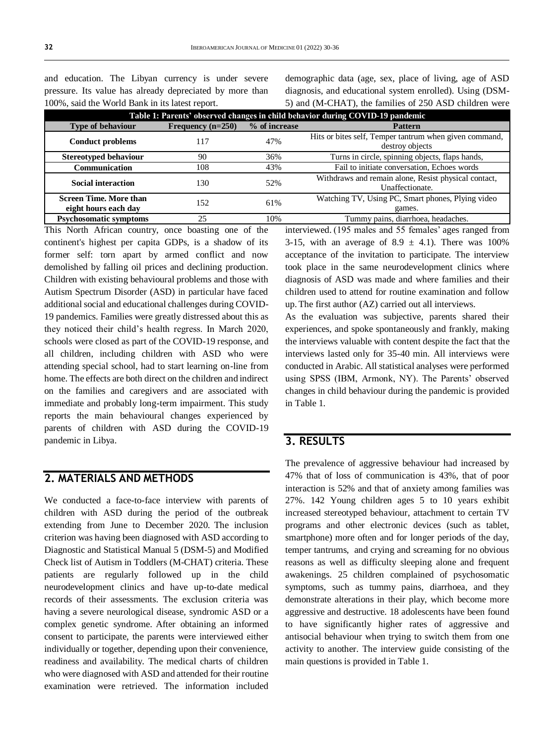and education. The Libyan currency is under severe pressure. Its value has already depreciated by more than 100%, said the World Bank in its latest report.

demographic data (age, sex, place of living, age of ASD diagnosis, and educational system enrolled). Using (DSM-5) and (M-CHAT), the families of 250 ASD children were

| Table 1: Parents' observed changes in child behavior during COVID-19 pandemic |                     |               |                                                                           |  |  |
|-------------------------------------------------------------------------------|---------------------|---------------|---------------------------------------------------------------------------|--|--|
| <b>Type of behaviour</b>                                                      | Frequency $(n=250)$ | % of increase | <b>Pattern</b>                                                            |  |  |
| <b>Conduct problems</b>                                                       | 117                 | 47%           | Hits or bites self, Temper tantrum when given command,<br>destroy objects |  |  |
| <b>Stereotyped behaviour</b>                                                  | 90                  | 36%           | Turns in circle, spinning objects, flaps hands,                           |  |  |
| Communication                                                                 | 108                 | 43%           | Fail to initiate conversation, Echoes words                               |  |  |
| <b>Social interaction</b>                                                     | 130                 | 52%           | Withdraws and remain alone, Resist physical contact,<br>Unaffectionate.   |  |  |
| <b>Screen Time. More than</b><br>eight hours each day                         | 152                 | 61%           | Watching TV, Using PC, Smart phones, Plying video<br>games.               |  |  |
| <b>Psychosomatic symptoms</b>                                                 | 25                  | 10%           | Tummy pains, diarrhoea, headaches.                                        |  |  |
| ________                                                                      |                     |               | $\sim$                                                                    |  |  |

This North African country, once boasting one of the continent's highest per capita GDPs, is a shadow of its former self: torn apart by armed conflict and now demolished by falling oil prices and declining production. Children with existing behavioural problems and those with Autism Spectrum Disorder (ASD) in particular have faced additional social and educational challenges during COVID-19 pandemics. Families were greatly distressed about this as they noticed their child's health regress. In March 2020, schools were closed as part of the COVID-19 response, and all children, including children with ASD who were attending special school, had to start learning on-line from home. The effects are both direct on the children and indirect on the families and caregivers and are associated with immediate and probably long-term impairment. This study reports the main behavioural changes experienced by parents of children with ASD during the COVID-19 pandemic in Libya.

### **2. MATERIALS AND METHODS**

We conducted a face-to-face interview with parents of children with ASD during the period of the outbreak extending from June to December 2020. The inclusion criterion was having been diagnosed with ASD according to Diagnostic and Statistical Manual 5 (DSM-5) and Modified Check list of Autism in Toddlers (M-CHAT) criteria. These patients are regularly followed up in the child neurodevelopment clinics and have up-to-date medical records of their assessments. The exclusion criteria was having a severe neurological disease, syndromic ASD or a complex genetic syndrome. After obtaining an informed consent to participate, the parents were interviewed either individually or together, depending upon their convenience, readiness and availability. The medical charts of children who were diagnosed with ASD and attended for their routine examination were retrieved. The information included

interviewed. (195 males and 55 females' ages ranged from 3-15, with an average of  $8.9 \pm 4.1$ ). There was 100% acceptance of the invitation to participate. The interview took place in the same neurodevelopment clinics where diagnosis of ASD was made and where families and their children used to attend for routine examination and follow up. The first author (AZ) carried out all interviews.

As the evaluation was subjective, parents shared their experiences, and spoke spontaneously and frankly, making the interviews valuable with content despite the fact that the interviews lasted only for 35-40 min. All interviews were conducted in Arabic. All statistical analyses were performed using SPSS (IBM, Armonk, NY). The Parents' observed changes in child behaviour during the pandemic is provided in Table 1.

## **3. RESULTS**

The prevalence of aggressive behaviour had increased by 47% that of loss of communication is 43%, that of poor interaction is 52% and that of anxiety among families was 27%. 142 Young children ages 5 to 10 years exhibit increased stereotyped behaviour, attachment to certain TV programs and other electronic devices (such as tablet, smartphone) more often and for longer periods of the day, temper tantrums, and crying and screaming for no obvious reasons as well as difficulty sleeping alone and frequent awakenings. 25 children complained of psychosomatic symptoms, such as tummy pains, diarrhoea, and they demonstrate alterations in their play, which become more aggressive and destructive. 18 adolescents have been found to have significantly higher rates of aggressive and antisocial behaviour when trying to switch them from one activity to another. The interview guide consisting of the main questions is provided in Table 1.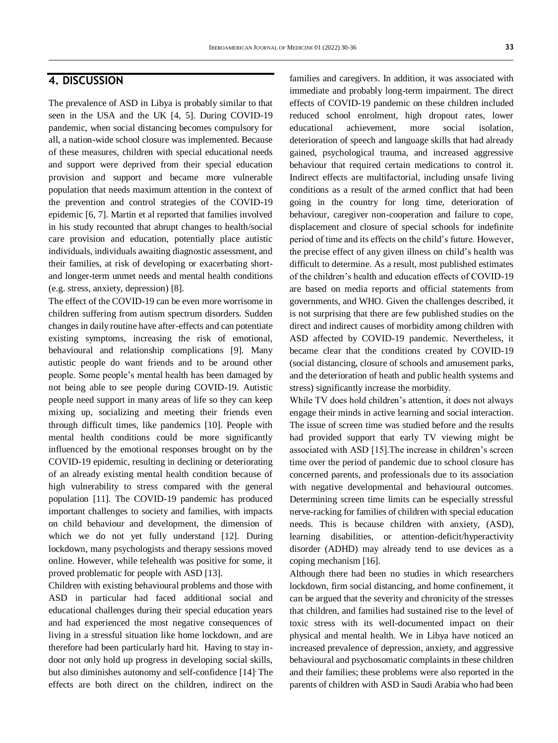# **4. DISCUSSION**

The prevalence of ASD in Libya is probably similar to that seen in the USA and the UK [4, 5]. During COVID-19 pandemic, when social distancing becomes compulsory for all, a nation-wide school closure was implemented. Because of these measures, children with special educational needs and support were deprived from their special education provision and support and became more vulnerable population that needs maximum attention in the context of the prevention and control strategies of the COVID-19 epidemic [6, 7]. Martin et al reported that families involved in his study recounted that abrupt changes to health/social care provision and education, potentially place autistic individuals, individuals awaiting diagnostic assessment, and their families, at risk of developing or exacerbating shortand longer-term unmet needs and mental health conditions (e.g. stress, anxiety, depression) [8].

The effect of the COVID-19 can be even more worrisome in children suffering from autism spectrum disorders. Sudden changes in daily routine have after-effects and can potentiate existing symptoms, increasing the risk of emotional, behavioural and relationship complications [9]. Many autistic people do want friends and to be around other people. Some people's mental health has been damaged by not being able to see people during COVID-19. Autistic people need support in many areas of life so they can keep mixing up, socializing and meeting their friends even through difficult times, like pandemics [10]. People with mental health conditions could be more significantly influenced by the emotional responses brought on by the COVID-19 epidemic, resulting in declining or deteriorating of an already existing mental health condition because of high vulnerability to stress compared with the general population [11]. The COVID-19 pandemic has produced important challenges to society and families, with impacts on child behaviour and development, the dimension of which we do not yet fully understand [12]*.* During lockdown, many psychologists and therapy sessions moved online. However, while telehealth was positive for some, it proved problematic for people with ASD [13].

Children with existing behavioural problems and those with ASD in particular had faced additional social and educational challenges during their special education years and had experienced the most negative consequences of living in a stressful situation like home lockdown, and are therefore had been particularly hard hit. Having to stay indoor not only hold up progress in developing social skills, but also diminishes autonomy and self-confidence [14]**.** The effects are both direct on the children, indirect on the

families and caregivers. In addition, it was associated with immediate and probably long-term impairment. The direct effects of COVID-19 pandemic on these children included reduced school enrolment, high dropout rates, lower educational achievement, more social isolation, deterioration of speech and language skills that had already gained, psychological trauma, and increased aggressive behaviour that required certain medications to control it. Indirect effects are multifactorial, including unsafe living conditions as a result of the armed conflict that had been going in the country for long time, deterioration of behaviour, caregiver non-cooperation and failure to cope, displacement and closure of special schools for indefinite period of time and its effects on the child's future. However, the precise effect of any given illness on child's health was difficult to determine. As a result, most published estimates of the children's health and education effects of COVID-19 are based on media reports and official statements from governments, and WHO. Given the challenges described, it is not surprising that there are few published studies on the direct and indirect causes of morbidity among children with ASD affected by COVID-19 pandemic. Nevertheless, it became clear that the conditions created by COVID-19 (social distancing, closure of schools and amusement parks, and the deterioration of heath and public health systems and stress) significantly increase the morbidity.

While TV does hold children's attention, it does not always engage their minds in active learning and social interaction. The issue of screen time was studied before and the results had provided support that early TV viewing might be associated with ASD [15].The increase in children's screen time over the period of pandemic due to school closure has concerned parents, and professionals due to its association with negative developmental and behavioural outcomes. Determining screen time limits can be especially stressful nerve-racking for families of children with special education needs. This is because children with anxiety, (ASD), learning disabilities, or attention-deficit/hyperactivity disorder (ADHD) may already tend to use devices as a coping mechanism [16].

Although there had been no studies in which researchers lockdown, firm social distancing, and home confinement, it can be argued that the severity and chronicity of the stresses that children, and families had sustained rise to the level of toxic stress with its well-documented impact on their physical and mental health. We in Libya have noticed an increased prevalence of depression, anxiety, and aggressive behavioural and psychosomatic complaints in these children and their families; these problems were also reported in the parents of children with ASD in Saudi Arabia who had been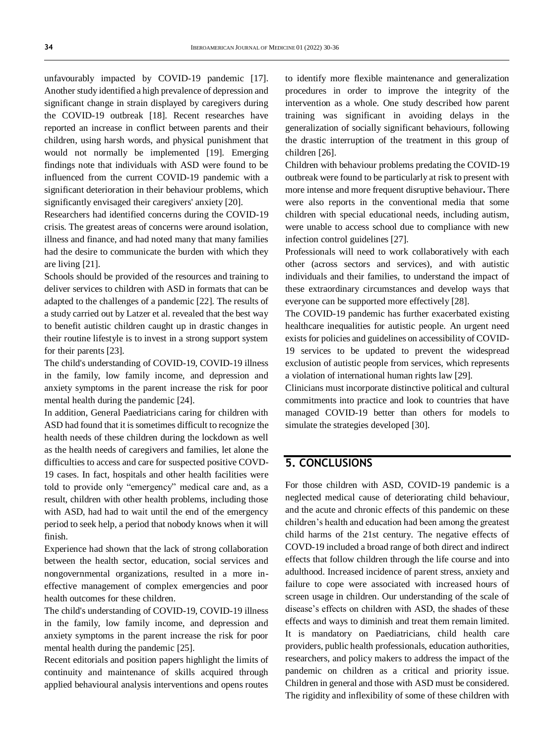unfavourably impacted by COVID-19 pandemic [17]. Another study identified a high prevalence of depression and significant change in strain displayed by caregivers during the COVID-19 outbreak [18]. Recent researches have reported an increase in conflict between parents and their children, using harsh words, and physical punishment that would not normally be implemented [19]. Emerging findings note that individuals with ASD were found to be influenced from the current COVID-19 pandemic with a significant deterioration in their behaviour problems, which significantly envisaged their caregivers' anxiety [20].

Researchers had identified concerns during the COVID-19 crisis. The greatest areas of concerns were around isolation, illness and finance, and had noted many that many families had the desire to communicate the burden with which they are living [21].

Schools should be provided of the resources and training to deliver services to children with ASD in formats that can be adapted to the challenges of a pandemic [22]. The results of a study carried out by Latzer et al. revealed that the best way to benefit autistic children caught up in drastic changes in their routine lifestyle is to invest in a strong support system for their parents [23].

The child's understanding of COVID-19, COVID-19 illness in the family, low family income, and depression and anxiety symptoms in the parent increase the risk for poor mental health during the pandemic [24].

In addition, General Paediatricians caring for children with ASD had found that it is sometimes difficult to recognize the health needs of these children during the lockdown as well as the health needs of caregivers and families, let alone the difficulties to access and care for suspected positive COVD-19 cases. In fact, hospitals and other health facilities were told to provide only "emergency" medical care and, as a result, children with other health problems, including those with ASD, had had to wait until the end of the emergency period to seek help, a period that nobody knows when it will finish.

Experience had shown that the lack of strong collaboration between the health sector, education, social services and nongovernmental organizations, resulted in a more ineffective management of complex emergencies and poor health outcomes for these children.

The child's understanding of COVID-19, COVID-19 illness in the family, low family income, and depression and anxiety symptoms in the parent increase the risk for poor mental health during the pandemic [25].

Recent editorials and position papers highlight the limits of continuity and maintenance of skills acquired through applied behavioural analysis interventions and opens routes

to identify more flexible maintenance and generalization procedures in order to improve the integrity of the intervention as a whole. One study described how parent training was significant in avoiding delays in the generalization of socially significant behaviours, following the drastic interruption of the treatment in this group of children [26].

Children with behaviour problems predating the COVID-19 outbreak were found to be particularly at risk to present with more intense and more frequent disruptive behaviour**.** There were also reports in the conventional media that some children with special educational needs, including autism, were unable to access school due to compliance with new infection control guidelines [27].

Professionals will need to work collaboratively with each other (across sectors and services), and with autistic individuals and their families, to understand the impact of these extraordinary circumstances and develop ways that everyone can be supported more effectively [28].

The COVID-19 pandemic has further exacerbated existing healthcare inequalities for autistic people. An urgent need exists for policies and guidelines on accessibility of COVID-19 services to be updated to prevent the widespread exclusion of autistic people from services, which represents a violation of international human rights law [29].

Clinicians must incorporate distinctive political and cultural commitments into practice and look to countries that have managed COVID-19 better than others for models to simulate the strategies developed [30].

### **5. CONCLUSIONS**

For those children with ASD, COVID-19 pandemic is a neglected medical cause of deteriorating child behaviour, and the acute and chronic effects of this pandemic on these children's health and education had been among the greatest child harms of the 21st century. The negative effects of COVD-19 included a broad range of both direct and indirect effects that follow children through the life course and into adulthood. Increased incidence of parent stress, anxiety and failure to cope were associated with increased hours of screen usage in children. Our understanding of the scale of disease's effects on children with ASD, the shades of these effects and ways to diminish and treat them remain limited. It is mandatory on Paediatricians, child health care providers, public health professionals, education authorities, researchers, and policy makers to address the impact of the pandemic on children as a critical and priority issue. Children in general and those with ASD must be considered. The rigidity and inflexibility of some of these children with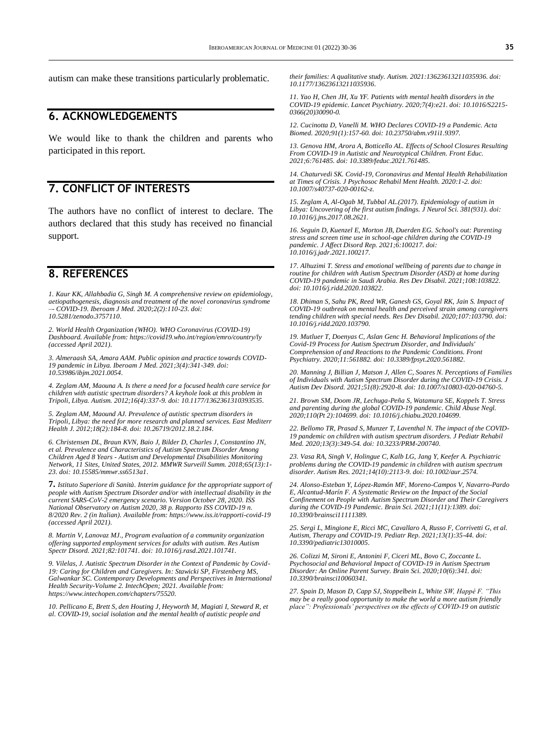autism can make these transitions particularly problematic.

### **6. ACKNOWLEDGEMENTS**

We would like to thank the children and parents who participated in this report.

### **7. CONFLICT OF INTERESTS**

The authors have no conflict of interest to declare. The authors declared that this study has received no financial support.

### **8. REFERENCES**

*1. Kaur KK, Allahbadia G, Singh M[. A comprehensive review on](https://www.iberoamjmed.com/journal/iberoamericanjm/article/doi/10.5281/zenodo.3757110) epidemiology, [aetiopathogenesis, diagnosis and treatment of the novel coronavirus syndrome](https://www.iberoamjmed.com/journal/iberoamericanjm/article/doi/10.5281/zenodo.3757110)  –- [COVID-19.](https://www.iberoamjmed.com/journal/iberoamericanjm/article/doi/10.5281/zenodo.3757110) Iberoam J Med. 2020;2(2):110-23. doi: [10.5281/zenodo.3757110.](http://dx.doi.org/10.5281/zenodo.3757110)*

*2. World Health Organization (WHO). WHO Coronavirus (COVID-19) Dashboard. Available from[: https://covid19.who.int/region/emro/country/ly](https://covid19.who.int/region/emro/country/ly) (accessed April 2021).*

*3. Almeraash SA, Amara AAM. Public opinion and practice towards COVID-19 pandemic in Libya. Iberoam J Med. 2021;3(4):341-349. doi: [10.53986/ibjm.2021.0054.](https://doi.org/10.53986/ibjm.2021.0054)*

*4. Zeglam AM, Maouna A. Is there a need for a focused health care service for children with autistic spectrum disorders? A keyhole look at this problem in Tripoli, Libya. Autism. 2012;16(4):337-9. doi[: 10.1177/1362361310393535.](https://doi.org/10.1177/1362361310393535)*

*5. Zeglam AM, Maound AJ. Prevalence of autistic spectrum disorders in Tripoli, Libya: the need for more research and planned services. East Mediterr Health J. 2012;18(2):184-8. doi[: 10.26719/2012.18.2.184.](https://doi.org/10.26719/2012.18.2.184)*

*6. Christensen DL, Braun KVN, Baio J, Bilder D, Charles J, Constantino JN, et al. Prevalence and Characteristics of Autism Spectrum Disorder Among Children Aged 8 Years - Autism and Developmental Disabilities Monitoring Network, 11 Sites, United States, 2012. MMWR Surveill Summ. 2018;65(13):1- 23. doi[: 10.15585/mmwr.ss6513a1.](https://doi.org/10.15585/mmwr.ss6513a1)*

**7.** *Istituto Superiore di Sanità. Interim guidance for the appropriate support of people with Autism Spectrum Disorder and/or with intellectual disability in the current SARS-CoV-2 emergency scenario. Version October 28, 2020. ISS National Observatory on Autism 2020, 38 p. Rapporto ISS COVID-19 n. 8/2020 Rev. 2 (in Italian). Available from:<https://www.iss.it/rapporti-covid-19> (accessed April 2021).*

*8. Martin V, Lanovaz MJ., Program evaluation of a community organization offering supported employment services for adults with autism. Res Autism Spectr Disord. 2021;82:101741. doi[: 10.1016/j.rasd.2021.101741.](https://doi.org/10.1016/j.rasd.2021.101741)*

*9. Vilelas, J. Autistic Spectrum Disorder in the Context of Pandemic by Covid-19: Caring for Children and Caregivers. In: Stawicki SP, Firstenberg MS, Galwankar SC. Contemporary Developments and Perspectives in International Health Security-Volume 2. IntechOpen; 2021. Available from: [https://www.intechopen.com/chapters/75520.](https://www.intechopen.com/chapters/75520)*

*10. Pellicano E, Brett S, den Houting J, Heyworth M, Magiati I, Steward R, et al. COVID-19, social isolation and the mental health of autistic people and* 

*their families: A qualitative study. Autism. 2021:13623613211035936. doi: [10.1177/13623613211035936.](https://doi.org/10.1177/13623613211035936)*

*11. Yao H, Chen JH, Xu YF. Patients with mental health disorders in the COVID-19 epidemic. Lancet Psychiatry. 2020;7(4):e21. doi[: 10.1016/S2215-](https://doi.org/10.1016/s2215-0366(20)30090-0) [0366\(20\)30090-0.](https://doi.org/10.1016/s2215-0366(20)30090-0)*

*12. Cucinotta D, Vanelli M. WHO Declares COVID-19 a Pandemic. Acta Biomed. 2020;91(1):157-60. doi[: 10.23750/abm.v91i1.9397.](https://doi.org/10.23750/abm.v91i1.9397)*

*13. Genova HM, Arora A, Botticello AL. Effects of School Closures Resulting From COVID-19 in Autistic and Neurotypical Children. Front Educ. 2021;6:761485[. doi: 10.3389/feduc.2021.761485.](http://doi:10.3389/feduc.2021.761485)*

*14. Chaturvedi SK. Covid-19, Coronavirus and Mental Health Rehabilitation at Times of Crisis. J Psychosoc Rehabil Ment Health. 2020:1-2. doi: [10.1007/s40737-020-00162-z.](https://doi.org/10.1007/s40737-020-00162-z)*

*15. Zeglam A, Al-Ogab M, Tubbal AL.(2017). Epidemiology of autism in Libya: Uncovering of the first autism findings. J Neurol Sci. 381(931). doi: [10.1016/j.jns.2017.08.2621.](https://doi.org/10.1016/j.jns.2017.08.2621)*

*16. Seguin D, Kuenzel E, Morton JB, Duerden EG. School's out: Parenting stress and screen time use in school-age children during the COVID-19 pandemic. J Affect Disord Rep. 2021;6:100217. doi: [10.1016/j.jadr.2021.100217.](https://doi.org/10.1016/j.jadr.2021.100217)*

*17. Alhuzimi T. Stress and emotional wellbeing of parents due to change in routine for children with Autism Spectrum Disorder (ASD) at home during COVID-19 pandemic in Saudi Arabia. Res Dev Disabil. 2021;108:103822. doi[: 10.1016/j.ridd.2020.103822.](https://doi.org/10.1016/j.ridd.2020.103822)*

*18. Dhiman S, Sahu PK, Reed WR, Ganesh GS, Goyal RK, Jain S. Impact of COVID-19 outbreak on mental health and perceived strain among caregivers tending children with special needs. Res Dev Disabil. 2020;107:103790. doi: [10.1016/j.ridd.2020.103790.](https://doi.org/10.1016/j.ridd.2020.103790)*

*19. Mutluer T, Doenyas C, Aslan Genc H. Behavioral Implications of the Covid-19 Process for Autism Spectrum Disorder, and Individuals' Comprehension of and Reactions to the Pandemic Conditions. Front Psychiatry. 2020;11:561882. doi[: 10.3389/fpsyt.2020.561882.](https://doi.org/10.3389/fpsyt.2020.561882)*

*20. Manning J, Billian J, Matson J, Allen C, Soares N. Perceptions of Families of Individuals with Autism Spectrum Disorder during the COVID-19 Crisis. J Autism Dev Disord. 2021;51(8):2920-8. doi[: 10.1007/s10803-020-04760-5.](https://doi.org/10.1007/s10803-020-04760-5)*

*21. Brown SM, Doom JR, Lechuga-Peña S, Watamura SE, Koppels T. Stress and parenting during the global COVID-19 pandemic. Child Abuse Negl. 2020;110(Pt 2):104699. doi[: 10.1016/j.chiabu.2020.104699.](https://doi.org/10.1016/j.chiabu.2020.104699)*

*22. Bellomo TR, Prasad S, Munzer T, Laventhal N. The impact of the COVID-19 pandemic on children with autism spectrum disorders. J Pediatr Rehabil Med. 2020;13(3):349-54. doi[: 10.3233/PRM-200740.](https://doi.org/10.3233/prm-200740)*

*23. Vasa RA, Singh V, Holingue C, Kalb LG, Jang Y, Keefer A. Psychiatric problems during the COVID-19 pandemic in children with autism spectrum disorder. Autism Res. 2021;14(10):2113-9. doi[: 10.1002/aur.2574.](https://doi.org/10.1002/aur.2574)*

*24. Alonso-Esteban Y, López-Ramón MF, Moreno-Campos V, Navarro-Pardo E, Alcantud-Marín F. A Systematic Review on the Impact of the Social Confinement on People with Autism Spectrum Disorder and Their Caregivers during the COVID-19 Pandemic. Brain Sci. 2021;11(11):1389. doi: [10.3390/brainsci11111389.](https://doi.org/10.3390/brainsci11111389)*

*25. Sergi L, Mingione E, Ricci MC, Cavallaro A, Russo F, Corrivetti G, et al. Autism, Therapy and COVID-19. Pediatr Rep. 2021;13(1):35-44. doi: [10.3390/pediatric13010005.](https://doi.org/10.3390/pediatric13010005)*

*26. Colizzi M, Sironi E, Antonini F, Ciceri ML, Bovo C, Zoccante L. Psychosocial and Behavioral Impact of COVID-19 in Autism Spectrum Disorder: An Online Parent Survey. Brain Sci. 2020;10(6):341. doi: [10.3390/brainsci10060341.](https://doi.org/10.3390/brainsci10060341)*

*27. Spain D, Mason D, Capp SJ, Stoppelbein L, White SW, Happé F. "This may be a really good opportunity to make the world a more autism friendly place": Professionals' perspectives on the effects of COVID-19 on autistic*